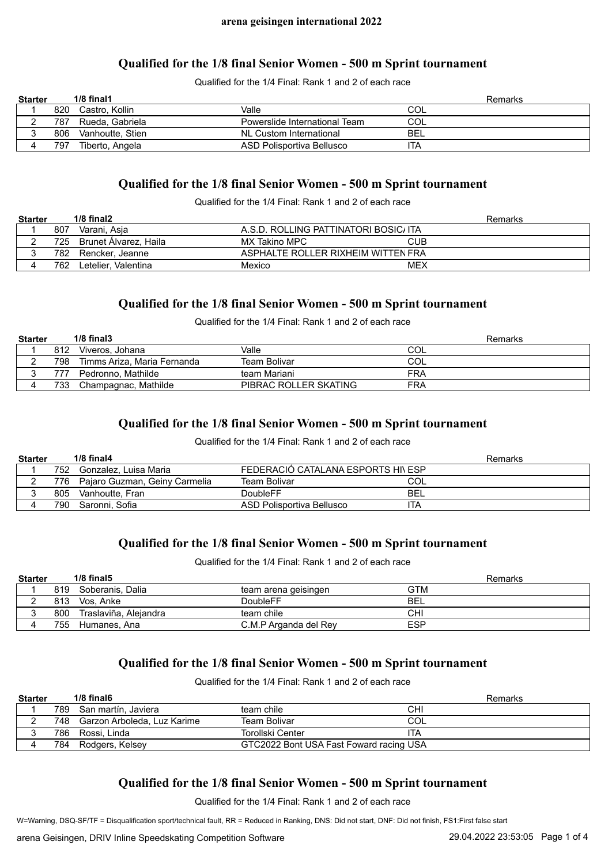# **Qualified for the 1/8 final Senior Women - 500 m Sprint tournament**

Qualified for the 1/4 Final: Rank 1 and 2 of each race

| <b>Starter</b> |     | $1/8$ final $1$  |                               | Remarks    |
|----------------|-----|------------------|-------------------------------|------------|
|                | 820 | Castro. Kollin   | Valle                         | COL        |
|                | 787 | Rueda, Gabriela  | Powerslide International Team | COL        |
|                | 806 | Vanhoutte. Stien | NL Custom International       | <b>BEL</b> |
|                | 797 | Tiberto, Angela  | ASD Polisportiva Bellusco     | ۱TA        |

# **Qualified for the 1/8 final Senior Women - 500 m Sprint tournament**

Qualified for the 1/4 Final: Rank 1 and 2 of each race

| <b>Starter</b> |      | $1/8$ final $2$       |                                       | Remarks    |
|----------------|------|-----------------------|---------------------------------------|------------|
|                | 807  | Varani. Asia          | A.S.D. ROLLING PATTINATORI BOSIC/ ITA |            |
|                | 725  | Brunet Alvarez, Haila | MX Takino MPC                         | <b>CUB</b> |
|                | 782. | Rencker. Jeanne       | ASPHALTE ROLLER RIXHEIM WITTEN FRA    |            |
|                | 762  | Letelier. Valentina   | Mexico                                | MEX        |

# **Qualified for the 1/8 final Senior Women - 500 m Sprint tournament**

Qualified for the 1/4 Final: Rank 1 and 2 of each race

| <b>Starter</b> |     | $1/8$ final $3$             |                       | Remarks |
|----------------|-----|-----------------------------|-----------------------|---------|
|                | 812 | Viveros, Johana             | Valle                 | COL     |
|                | 798 | Timms Ariza, Maria Fernanda | Team Bolivar          | COL     |
|                | 777 | Pedronno, Mathilde          | team Mariani          | FRA     |
|                | 733 | Champagnac, Mathilde        | PIBRAC ROLLER SKATING | FRA     |

# **Qualified for the 1/8 final Senior Women - 500 m Sprint tournament**

Qualified for the 1/4 Final: Rank 1 and 2 of each race

| <b>Starter</b> |      | $1/8$ final4                  |                                    | Remarks    |
|----------------|------|-------------------------------|------------------------------------|------------|
|                | 752  | Gonzalez. Luisa Maria         | FEDERACIÓ CATALANA ESPORTS HI\ ESP |            |
|                | 776  | Pajaro Guzman, Geiny Carmelia | Team Bolivar                       | COL        |
|                | 805  | Vanhoutte. Fran               | DoubleFF                           | <b>BEL</b> |
|                | 790. | Saronni. Sofia                | ASD Polisportiva Bellusco          | ITA        |

# **Qualified for the 1/8 final Senior Women - 500 m Sprint tournament**

Qualified for the 1/4 Final: Rank 1 and 2 of each race

| <b>Starter</b> |     | $1/8$ final $5$       |                       | Remarks    |
|----------------|-----|-----------------------|-----------------------|------------|
|                | 819 | Soberanis. Dalia      | team arena geisingen  | GTM        |
|                | 813 | Vos. Anke             | DoubleFF              | <b>BEL</b> |
|                | 800 | Traslaviña, Alejandra | team chile            | СHІ        |
|                | 755 | Humanes, Ana          | C.M.P Arganda del Rey | <b>ESP</b> |

# **Qualified for the 1/8 final Senior Women - 500 m Sprint tournament**

Qualified for the 1/4 Final: Rank 1 and 2 of each race

| <b>Starter</b> |     | $1/8$ final 6               |                                         |     | Remarks |
|----------------|-----|-----------------------------|-----------------------------------------|-----|---------|
|                | 789 | San martín, Javiera         | team chile                              | СHI |         |
|                | 748 | Garzon Arboleda, Luz Karime | Team Bolivar                            | COL |         |
| ບ              | 786 | Rossi. Linda                | Torollski Center                        | ITA |         |
|                | 784 | Rodgers, Kelsey             | GTC2022 Bont USA Fast Foward racing USA |     |         |

# **Qualified for the 1/8 final Senior Women - 500 m Sprint tournament**

Qualified for the 1/4 Final: Rank 1 and 2 of each race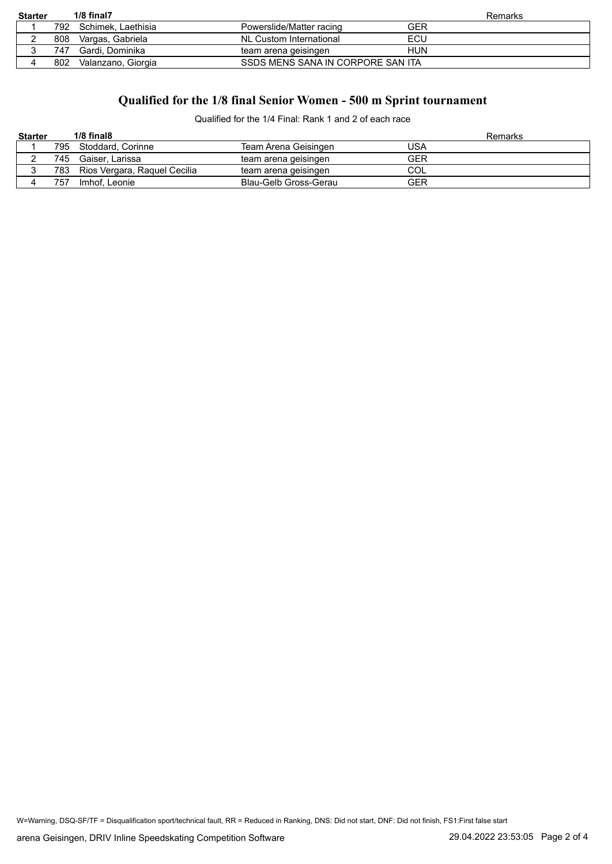| <b>Starter</b> |      | 1/8 final7         |                                   | Remarks |
|----------------|------|--------------------|-----------------------------------|---------|
|                | 792  | Schimek. Laethisia | Powerslide/Matter racing          | GER     |
|                | 808  | Vargas, Gabriela   | NL Custom International           | ECU     |
|                | 747. | Gardi. Dominika    | team arena geisingen              | HUN     |
|                | 802  | Valanzano, Giorgia | SSDS MENS SANA IN CORPORE SAN ITA |         |

# **Qualified for the 1/8 final Senior Women - 500 m Sprint tournament**

Qualified for the 1/4 Final: Rank 1 and 2 of each race

| <b>Starter</b> |     | $1/8$ final $8$              |                       | Remarks    |
|----------------|-----|------------------------------|-----------------------|------------|
|                | 795 | Stoddard, Corinne            | Team Arena Geisingen  | USA        |
|                | 745 | Gaiser. Larissa              | team arena geisingen  | <b>GER</b> |
|                | 783 | Rios Vergara, Raquel Cecilia | team arena geisingen  | COL        |
|                | 757 | Imhof, Leonie                | Blau-Gelb Gross-Gerau | GER        |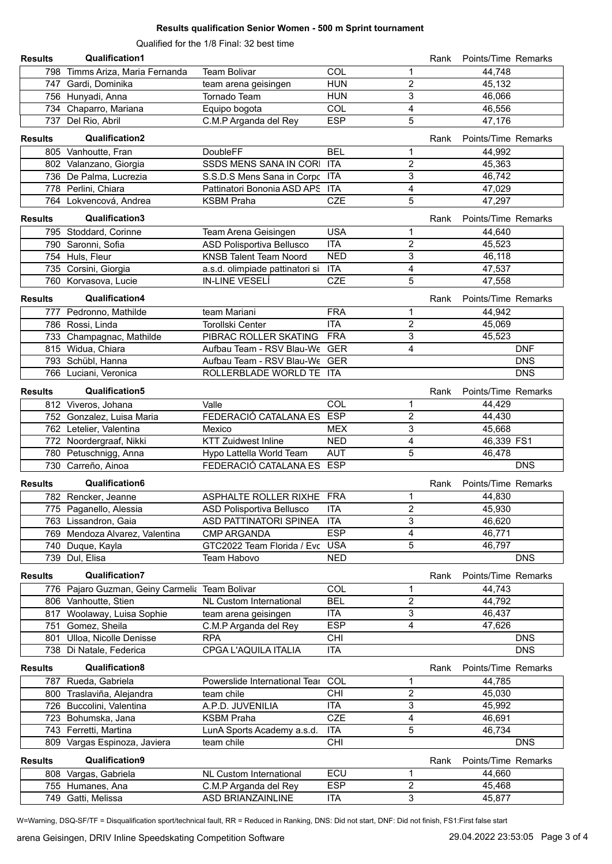#### **Results qualification Senior Women - 500 m Sprint tournament**

Qualified for the 1/8 Final: 32 best time

| <b>Results</b> | <b>Qualification1</b>                          |                                 |            |                         | Rank | Points/Time Remarks |            |
|----------------|------------------------------------------------|---------------------------------|------------|-------------------------|------|---------------------|------------|
|                | 798 Timms Ariza, Maria Fernanda                | <b>Team Bolivar</b>             | COL        | 1                       |      | 44,748              |            |
|                | 747 Gardi, Dominika                            | team arena geisingen            | <b>HUN</b> | 2                       |      | 45,132              |            |
|                | 756 Hunyadi, Anna                              | Tornado Team                    | <b>HUN</b> | 3                       |      | 46,066              |            |
|                | 734 Chaparro, Mariana                          | Equipo bogota                   | COL        | 4                       |      | 46,556              |            |
|                | 737 Del Rio, Abril                             | C.M.P Arganda del Rey           | <b>ESP</b> | $\overline{5}$          |      | 47,176              |            |
| <b>Results</b> | <b>Qualification2</b>                          |                                 |            |                         | Rank | Points/Time Remarks |            |
|                | 805 Vanhoutte, Fran                            | DoubleFF                        | <b>BEL</b> | 1                       |      | 44,992              |            |
|                | 802 Valanzano, Giorgia                         | SSDS MENS SANA IN CORI ITA      |            | $\overline{2}$          |      | 45,363              |            |
|                | 736 De Palma, Lucrezia                         | S.S.D.S Mens Sana in Corpc ITA  |            | 3                       |      | 46,742              |            |
|                | 778 Perlini, Chiara                            | Pattinatori Bononia ASD APS ITA |            | 4                       |      | 47,029              |            |
|                | 764 Lokvencová, Andrea                         | <b>KSBM Praha</b>               | <b>CZE</b> | 5                       |      | 47,297              |            |
| <b>Results</b> | Qualification3                                 |                                 |            |                         | Rank | Points/Time Remarks |            |
|                | 795 Stoddard, Corinne                          | Team Arena Geisingen            | <b>USA</b> | 1                       |      | 44,640              |            |
|                | 790 Saronni, Sofia                             | ASD Polisportiva Bellusco       | <b>ITA</b> | $\overline{c}$          |      | 45,523              |            |
|                | 754 Huls, Fleur                                | <b>KNSB Talent Team Noord</b>   | <b>NED</b> | 3                       |      | 46,118              |            |
|                | 735 Corsini, Giorgia                           | a.s.d. olimpiade pattinatori si | <b>ITA</b> | 4                       |      | 47,537              |            |
|                | 760 Korvasova, Lucie                           | <b>IN-LINE VESELÍ</b>           | <b>CZE</b> | 5                       |      | 47,558              |            |
| <b>Results</b> | Qualification4                                 |                                 |            |                         | Rank | Points/Time Remarks |            |
|                | 777 Pedronno, Mathilde                         | team Mariani                    | <b>FRA</b> | 1                       |      | 44,942              |            |
|                | 786 Rossi, Linda                               | <b>Torollski Center</b>         | <b>ITA</b> | $\overline{c}$          |      | 45,069              |            |
|                | 733 Champagnac, Mathilde                       | PIBRAC ROLLER SKATING           | <b>FRA</b> | 3                       |      | 45,523              |            |
|                | 815 Widua, Chiara                              | Aufbau Team - RSV Blau-We GER   |            | 4                       |      |                     | <b>DNF</b> |
|                | 793 Schübl, Hanna                              | Aufbau Team - RSV Blau-We GER   |            |                         |      |                     | <b>DNS</b> |
|                | 766 Luciani, Veronica                          | ROLLERBLADE WORLD TE ITA        |            |                         |      |                     | <b>DNS</b> |
| <b>Results</b> | Qualification5                                 |                                 |            |                         | Rank | Points/Time Remarks |            |
|                | 812 Viveros, Johana                            | Valle                           | COL        | 1                       |      | 44,429              |            |
|                | 752 Gonzalez, Luisa Maria                      | FEDERACIÓ CATALANA ES ESP       |            | $\overline{c}$          |      | 44,430              |            |
|                | 762 Letelier, Valentina                        | Mexico                          | <b>MEX</b> | 3                       |      | 45,668              |            |
|                | 772 Noordergraaf, Nikki                        | <b>KTT Zuidwest Inline</b>      | <b>NED</b> | 4                       |      | 46,339 FS1          |            |
|                | 780 Petuschnigg, Anna                          | Hypo Lattella World Team        | <b>AUT</b> | 5                       |      | 46,478              |            |
|                | 730 Carreño, Ainoa                             | FEDERACIÓ CATALANA ES ESP       |            |                         |      |                     | <b>DNS</b> |
| <b>Results</b> | Qualification6                                 |                                 |            |                         | Rank | Points/Time Remarks |            |
|                | 782 Rencker, Jeanne                            | ASPHALTE ROLLER RIXHE FRA       |            | 1                       |      | 44,830              |            |
|                | 775 Paganello, Alessia                         | ASD Polisportiva Bellusco       | ITA        | $\boldsymbol{2}$        |      | 45,930              |            |
|                | 763 Lissandron, Gaia                           | ASD PATTINATORI SPINEA ITA      |            | 3                       |      | 46,620              |            |
|                | 769 Mendoza Alvarez, Valentina                 | <b>CMP ARGANDA</b>              | <b>ESP</b> | 4                       |      | 46,771              |            |
|                | 740 Duque, Kayla                               | GTC2022 Team Florida / Evc USA  |            | 5                       |      | 46,797              |            |
|                | 739 Dul, Elisa                                 | Team Habovo                     | <b>NED</b> |                         |      |                     | <b>DNS</b> |
| <b>Results</b> | <b>Qualification7</b>                          |                                 |            |                         | Rank | Points/Time Remarks |            |
|                | 776 Pajaro Guzman, Geiny Carmelia Team Bolivar |                                 | COL        | 1                       |      | 44,743              |            |
|                | 806 Vanhoutte, Stien                           | <b>NL Custom International</b>  | <b>BEL</b> | $\overline{c}$          |      | 44,792              |            |
|                | 817 Woolaway, Luisa Sophie                     | team arena geisingen            | ITA        | 3                       |      | 46,437              |            |
|                | 751 Gomez, Sheila                              | C.M.P Arganda del Rey           | <b>ESP</b> | 4                       |      | 47,626              |            |
|                | 801 Ulloa, Nicolle Denisse                     | <b>RPA</b>                      | <b>CHI</b> |                         |      |                     | <b>DNS</b> |
|                | 738 Di Natale, Federica                        | CPGA L'AQUILA ITALIA            | <b>ITA</b> |                         |      |                     | <b>DNS</b> |
| <b>Results</b> | Qualification8                                 |                                 |            |                         | Rank | Points/Time Remarks |            |
|                | 787 Rueda, Gabriela                            | Powerslide International Tear   | COL        | 1                       |      | 44,785              |            |
|                | 800 Traslaviña, Alejandra                      | team chile                      | <b>CHI</b> | $\overline{\mathbf{c}}$ |      | 45,030              |            |
|                | 726 Buccolini, Valentina                       | A.P.D. JUVENILIA                | <b>ITA</b> | 3                       |      | 45,992              |            |
|                | 723 Bohumska, Jana                             | <b>KSBM Praha</b>               | <b>CZE</b> | 4                       |      | 46,691              |            |
|                | 743 Ferretti, Martina                          | LunA Sports Academy a.s.d.      | <b>ITA</b> | 5                       |      | 46,734              |            |
|                | 809 Vargas Espinoza, Javiera                   | team chile                      | CHI        |                         |      |                     | <b>DNS</b> |
| <b>Results</b> | Qualification9                                 |                                 |            |                         | Rank | Points/Time Remarks |            |
|                | 808 Vargas, Gabriela                           | NL Custom International         | ECU        | 1                       |      | 44,660              |            |
|                | 755 Humanes, Ana                               | C.M.P Arganda del Rey           | <b>ESP</b> | $\overline{\mathbf{c}}$ |      | 45,468              |            |
|                | 749 Gatti, Melissa                             | ASD BRIANZAINLINE               | ITA        | $\overline{3}$          |      | 45,877              |            |